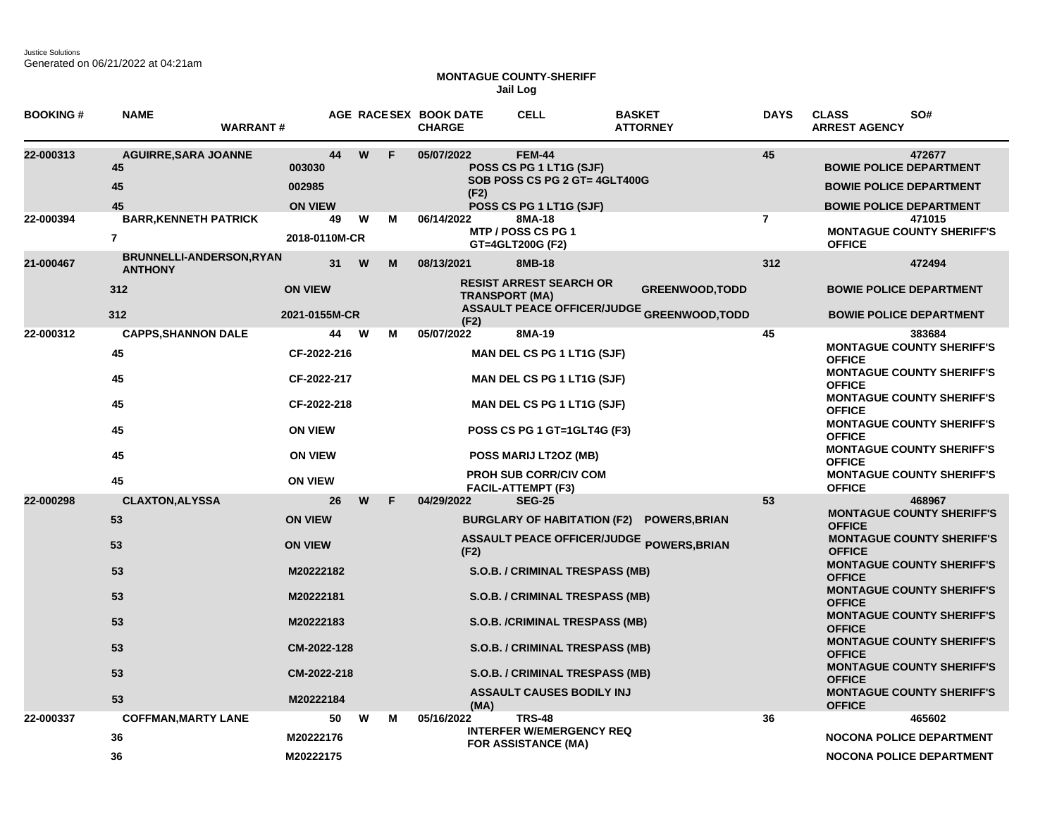Justice Solutions Generated on 06/21/2022 at 04:21am

## **MONTAGUE COUNTY-SHERIFF Jail Log**

| <b>BOOKING#</b> | <b>NAME</b><br><b>WARRANT#</b>                                         |                                                                                                                          |        | AGE RACESEX BOOK DATE<br><b>CHARGE</b> | <b>CELL</b>                                                                                                                                                                                                                                                                  | <b>BASKET</b><br><b>ATTORNEY</b>                                            | <b>DAYS</b>    | <b>CLASS</b><br>SO#<br><b>ARREST AGENCY</b>                                                                                                                                                                                                                                                                                                                                                                                                    |
|-----------------|------------------------------------------------------------------------|--------------------------------------------------------------------------------------------------------------------------|--------|----------------------------------------|------------------------------------------------------------------------------------------------------------------------------------------------------------------------------------------------------------------------------------------------------------------------------|-----------------------------------------------------------------------------|----------------|------------------------------------------------------------------------------------------------------------------------------------------------------------------------------------------------------------------------------------------------------------------------------------------------------------------------------------------------------------------------------------------------------------------------------------------------|
| 22-000313       | <b>AGUIRRE, SARA JOANNE</b><br>45<br>45<br>45                          | 44<br>003030<br>002985<br><b>ON VIEW</b>                                                                                 | W<br>F | 05/07/2022<br>(F2)                     | <b>FEM-44</b><br>POSS CS PG 1 LT1G (SJF)<br>SOB POSS CS PG 2 GT= 4GLT400G<br>POSS CS PG 1 LT1G (SJF)                                                                                                                                                                         |                                                                             | 45             | 472677<br><b>BOWIE POLICE DEPARTMENT</b><br><b>BOWIE POLICE DEPARTMENT</b><br><b>BOWIE POLICE DEPARTMENT</b>                                                                                                                                                                                                                                                                                                                                   |
| 22-000394       | <b>BARR, KENNETH PATRICK</b><br>$\overline{7}$                         | 49<br>2018-0110M-CR                                                                                                      | W<br>M | 06/14/2022                             | 8MA-18<br>MTP / POSS CS PG 1<br>GT=4GLT200G (F2)                                                                                                                                                                                                                             |                                                                             | $\overline{7}$ | 471015<br><b>MONTAGUE COUNTY SHERIFF'S</b><br><b>OFFICE</b>                                                                                                                                                                                                                                                                                                                                                                                    |
| 21-000467       | <b>BRUNNELLI-ANDERSON, RYAN</b><br><b>ANTHONY</b><br>312               | 31<br><b>ON VIEW</b>                                                                                                     | W<br>м | 08/13/2021                             | 8MB-18<br><b>RESIST ARREST SEARCH OR</b><br><b>TRANSPORT (MA)</b>                                                                                                                                                                                                            | <b>GREENWOOD, TODD</b><br><b>ASSAULT PEACE OFFICER/JUDGE GREENWOOD,TODD</b> | 312            | 472494<br><b>BOWIE POLICE DEPARTMENT</b>                                                                                                                                                                                                                                                                                                                                                                                                       |
|                 | 312                                                                    | 2021-0155M-CR                                                                                                            |        | (F2)                                   |                                                                                                                                                                                                                                                                              |                                                                             |                | <b>BOWIE POLICE DEPARTMENT</b>                                                                                                                                                                                                                                                                                                                                                                                                                 |
| 22-000312       | <b>CAPPS, SHANNON DALE</b><br>45<br>45<br>45                           | 44<br>CF-2022-216<br>CF-2022-217<br>CF-2022-218                                                                          | W<br>м | 05/07/2022                             | 8MA-19<br><b>MAN DEL CS PG 1 LT1G (SJF)</b><br><b>MAN DEL CS PG 1 LT1G (SJF)</b><br><b>MAN DEL CS PG 1 LT1G (SJF)</b>                                                                                                                                                        |                                                                             | 45             | 383684<br><b>MONTAGUE COUNTY SHERIFF'S</b><br><b>OFFICE</b><br><b>MONTAGUE COUNTY SHERIFF'S</b><br><b>OFFICE</b><br><b>MONTAGUE COUNTY SHERIFF'S</b><br><b>OFFICE</b>                                                                                                                                                                                                                                                                          |
|                 | 45<br>45<br>45                                                         | <b>ON VIEW</b><br><b>ON VIEW</b><br><b>ON VIEW</b>                                                                       |        |                                        | POSS CS PG 1 GT=1GLT4G (F3)<br>POSS MARIJ LT2OZ (MB)<br><b>PROH SUB CORR/CIV COM</b><br><b>FACIL-ATTEMPT (F3)</b>                                                                                                                                                            |                                                                             |                | <b>MONTAGUE COUNTY SHERIFF'S</b><br><b>OFFICE</b><br><b>MONTAGUE COUNTY SHERIFF'S</b><br><b>OFFICE</b><br><b>MONTAGUE COUNTY SHERIFF'S</b><br><b>OFFICE</b>                                                                                                                                                                                                                                                                                    |
| 22-000298       | <b>CLAXTON, ALYSSA</b><br>53<br>53<br>53<br>53<br>53<br>53<br>53<br>53 | 26<br><b>ON VIEW</b><br><b>ON VIEW</b><br>M20222182<br>M20222181<br>M20222183<br>CM-2022-128<br>CM-2022-218<br>M20222184 | W<br>F | 04/29/2022<br>(F2)<br>(MA)             | <b>SEG-25</b><br><b>BURGLARY OF HABITATION (F2)</b><br>S.O.B. / CRIMINAL TRESPASS (MB)<br>S.O.B. / CRIMINAL TRESPASS (MB)<br><b>S.O.B. /CRIMINAL TRESPASS (MB)</b><br>S.O.B. / CRIMINAL TRESPASS (MB)<br>S.O.B. / CRIMINAL TRESPASS (MB)<br><b>ASSAULT CAUSES BODILY INJ</b> | <b>POWERS, BRIAN</b><br><b>ASSAULT PEACE OFFICER/JUDGE POWERS, BRIAN</b>    | 53             | 468967<br><b>MONTAGUE COUNTY SHERIFF'S</b><br><b>OFFICE</b><br><b>MONTAGUE COUNTY SHERIFF'S</b><br><b>OFFICE</b><br><b>MONTAGUE COUNTY SHERIFF'S</b><br><b>OFFICE</b><br><b>MONTAGUE COUNTY SHERIFF'S</b><br><b>OFFICE</b><br><b>MONTAGUE COUNTY SHERIFF'S</b><br><b>OFFICE</b><br><b>MONTAGUE COUNTY SHERIFF'S</b><br><b>OFFICE</b><br><b>MONTAGUE COUNTY SHERIFF'S</b><br><b>OFFICE</b><br><b>MONTAGUE COUNTY SHERIFF'S</b><br><b>OFFICE</b> |
| 22-000337       | <b>COFFMAN, MARTY LANE</b><br>36<br>36                                 | 50<br>M20222176<br>M20222175                                                                                             | w<br>м | 05/16/2022                             | <b>TRS-48</b><br><b>INTERFER W/EMERGENCY REQ</b><br><b>FOR ASSISTANCE (MA)</b>                                                                                                                                                                                               |                                                                             | 36             | 465602<br><b>NOCONA POLICE DEPARTMENT</b><br><b>NOCONA POLICE DEPARTMENT</b>                                                                                                                                                                                                                                                                                                                                                                   |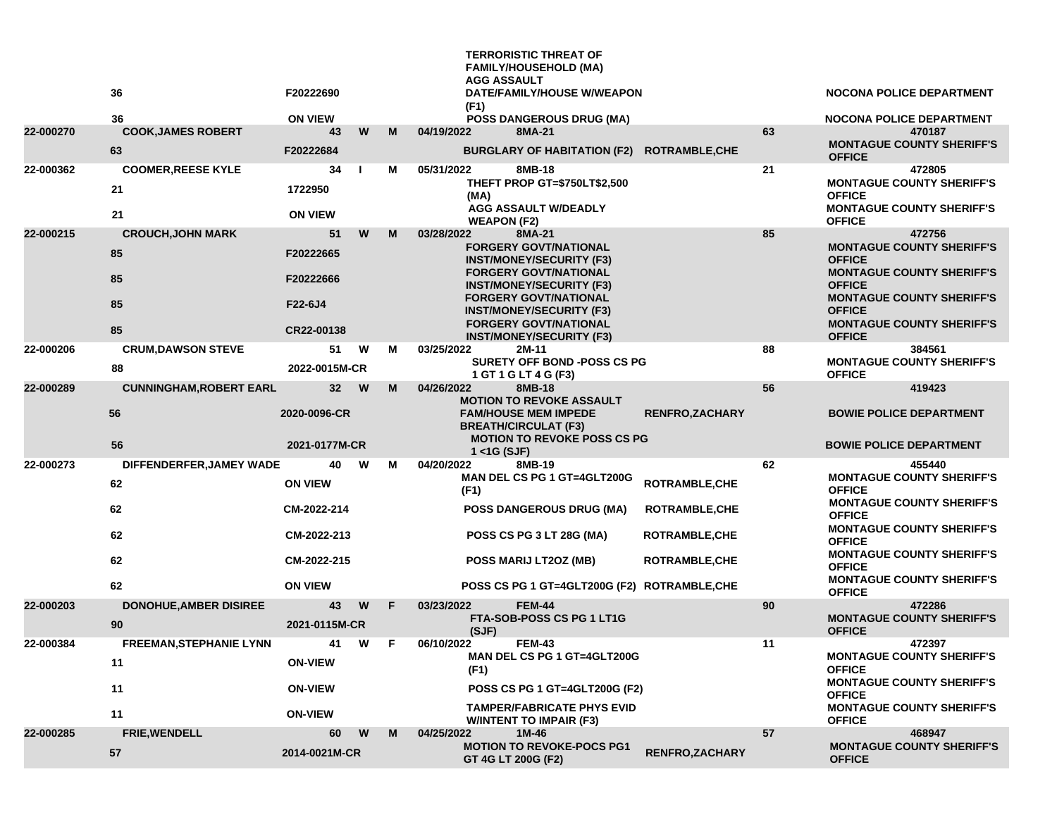|           | 36                                    | F20222690                       |    |   | <b>TERRORISTIC THREAT OF</b><br><b>FAMILY/HOUSEHOLD (MA)</b><br><b>AGG ASSAULT</b><br><b>DATE/FAMILY/HOUSE W/WEAPON</b><br>(F1)     |                       |    | <b>NOCONA POLICE DEPARTMENT</b>                                                                 |
|-----------|---------------------------------------|---------------------------------|----|---|-------------------------------------------------------------------------------------------------------------------------------------|-----------------------|----|-------------------------------------------------------------------------------------------------|
| 22-000270 | 36<br><b>COOK, JAMES ROBERT</b>       | <b>ON VIEW</b><br>43            | W  | M | <b>POSS DANGEROUS DRUG (MA)</b><br>04/19/2022<br>8MA-21                                                                             |                       | 63 | <b>NOCONA POLICE DEPARTMENT</b><br>470187                                                       |
|           | 63                                    | F20222684                       |    |   | BURGLARY OF HABITATION (F2) ROTRAMBLE, CHE                                                                                          |                       |    | <b>MONTAGUE COUNTY SHERIFF'S</b><br><b>OFFICE</b>                                               |
| 22-000362 | <b>COOMER, REESE KYLE</b><br>21<br>21 | 34<br>1722950<br><b>ON VIEW</b> | -1 | м | 05/31/2022<br>8MB-18<br>THEFT PROP GT=\$750LT\$2,500<br>(MA)<br><b>AGG ASSAULT W/DEADLY</b>                                         |                       | 21 | 472805<br><b>MONTAGUE COUNTY SHERIFF'S</b><br><b>OFFICE</b><br><b>MONTAGUE COUNTY SHERIFF'S</b> |
|           |                                       | 51                              | W  | M | <b>WEAPON (F2)</b>                                                                                                                  |                       | 85 | <b>OFFICE</b>                                                                                   |
| 22-000215 | <b>CROUCH, JOHN MARK</b><br>85        | F20222665                       |    |   | 03/28/2022<br>8MA-21<br><b>FORGERY GOVT/NATIONAL</b><br><b>INST/MONEY/SECURITY (F3)</b>                                             |                       |    | 472756<br><b>MONTAGUE COUNTY SHERIFF'S</b><br><b>OFFICE</b>                                     |
|           | 85                                    | F20222666                       |    |   | <b>FORGERY GOVT/NATIONAL</b><br><b>INST/MONEY/SECURITY (F3)</b><br><b>FORGERY GOVT/NATIONAL</b>                                     |                       |    | <b>MONTAGUE COUNTY SHERIFF'S</b><br><b>OFFICE</b><br><b>MONTAGUE COUNTY SHERIFF'S</b>           |
|           | 85<br>85                              | F22-6J4<br>CR22-00138           |    |   | <b>INST/MONEY/SECURITY (F3)</b><br><b>FORGERY GOVT/NATIONAL</b>                                                                     |                       |    | <b>OFFICE</b><br><b>MONTAGUE COUNTY SHERIFF'S</b>                                               |
| 22-000206 | <b>CRUM, DAWSON STEVE</b>             | 51                              | W  | м | <b>INST/MONEY/SECURITY (F3)</b><br>03/25/2022<br>2M-11                                                                              |                       | 88 | <b>OFFICE</b><br>384561                                                                         |
|           | 88                                    | 2022-0015M-CR                   |    |   | <b>SURETY OFF BOND -POSS CS PG</b><br>1 GT 1 G LT 4 G (F3)                                                                          |                       |    | <b>MONTAGUE COUNTY SHERIFF'S</b><br><b>OFFICE</b>                                               |
| 22-000289 | <b>CUNNINGHAM, ROBERT EARL</b>        | 32 <sub>2</sub>                 | W  | M | 04/26/2022<br>8MB-18                                                                                                                |                       | 56 | 419423                                                                                          |
|           | 56                                    | 2020-0096-CR                    |    |   | <b>MOTION TO REVOKE ASSAULT</b><br><b>FAM/HOUSE MEM IMPEDE</b><br><b>BREATH/CIRCULAT (F3)</b><br><b>MOTION TO REVOKE POSS CS PG</b> | <b>RENFRO,ZACHARY</b> |    | <b>BOWIE POLICE DEPARTMENT</b>                                                                  |
|           | 56                                    | 2021-0177M-CR                   |    |   | $1 <$ 4G (SJF)                                                                                                                      |                       |    | <b>BOWIE POLICE DEPARTMENT</b>                                                                  |
| 22-000273 | DIFFENDERFER, JAMEY WADE              | 40                              | W  | М | 04/20/2022<br>8MB-19                                                                                                                |                       | 62 | 455440                                                                                          |
|           | 62                                    | <b>ON VIEW</b>                  |    |   | MAN DEL CS PG 1 GT=4GLT200G<br>(F1)                                                                                                 | ROTRAMBLE, CHE        |    | <b>MONTAGUE COUNTY SHERIFF'S</b><br><b>OFFICE</b><br><b>MONTAGUE COUNTY SHERIFF'S</b>           |
|           | 62                                    | CM-2022-214                     |    |   | <b>POSS DANGEROUS DRUG (MA)</b>                                                                                                     | <b>ROTRAMBLE, CHE</b> |    | <b>OFFICE</b>                                                                                   |
|           | 62                                    | CM-2022-213                     |    |   | POSS CS PG 3 LT 28G (MA)                                                                                                            | <b>ROTRAMBLE,CHE</b>  |    | <b>MONTAGUE COUNTY SHERIFF'S</b><br><b>OFFICE</b><br><b>MONTAGUE COUNTY SHERIFF'S</b>           |
|           | 62                                    | CM-2022-215                     |    |   | POSS MARIJ LT2OZ (MB)                                                                                                               | <b>ROTRAMBLE,CHE</b>  |    | <b>OFFICE</b><br><b>MONTAGUE COUNTY SHERIFF'S</b>                                               |
|           | 62                                    | <b>ON VIEW</b>                  |    |   | POSS CS PG 1 GT=4GLT200G (F2) ROTRAMBLE, CHE                                                                                        |                       |    | <b>OFFICE</b>                                                                                   |
| 22-000203 | <b>DONOHUE, AMBER DISIREE</b><br>90   | 43<br>2021-0115M-CR             | W  | F | 03/23/2022<br><b>FEM-44</b><br>FTA-SOB-POSS CS PG 1 LT1G<br>(SJF)                                                                   |                       | 90 | 472286<br><b>MONTAGUE COUNTY SHERIFF'S</b><br><b>OFFICE</b>                                     |
| 22-000384 | <b>FREEMAN, STEPHANIE LYNN</b>        | 41                              | W  | F | 06/10/2022<br><b>FEM-43</b>                                                                                                         |                       | 11 | 472397                                                                                          |
|           | 11                                    | <b>ON-VIEW</b>                  |    |   | MAN DEL CS PG 1 GT=4GLT200G<br>(F1)                                                                                                 |                       |    | <b>MONTAGUE COUNTY SHERIFF'S</b><br><b>OFFICE</b>                                               |
|           | 11                                    | <b>ON-VIEW</b>                  |    |   | POSS CS PG 1 GT=4GLT200G (F2)                                                                                                       |                       |    | <b>MONTAGUE COUNTY SHERIFF'S</b><br><b>OFFICE</b>                                               |
|           | 11                                    | <b>ON-VIEW</b>                  |    |   | <b>TAMPER/FABRICATE PHYS EVID</b><br><b>W/INTENT TO IMPAIR (F3)</b>                                                                 |                       |    | <b>MONTAGUE COUNTY SHERIFF'S</b><br><b>OFFICE</b>                                               |
| 22-000285 | FRIE, WENDELL                         | 60                              | W  | M | 04/25/2022<br>1M-46<br><b>MOTION TO REVOKE-POCS PG1</b>                                                                             |                       | 57 | 468947<br><b>MONTAGUE COUNTY SHERIFF'S</b>                                                      |
|           | 57                                    | 2014-0021M-CR                   |    |   | GT 4G LT 200G (F2)                                                                                                                  | <b>RENFRO,ZACHARY</b> |    | <b>OFFICE</b>                                                                                   |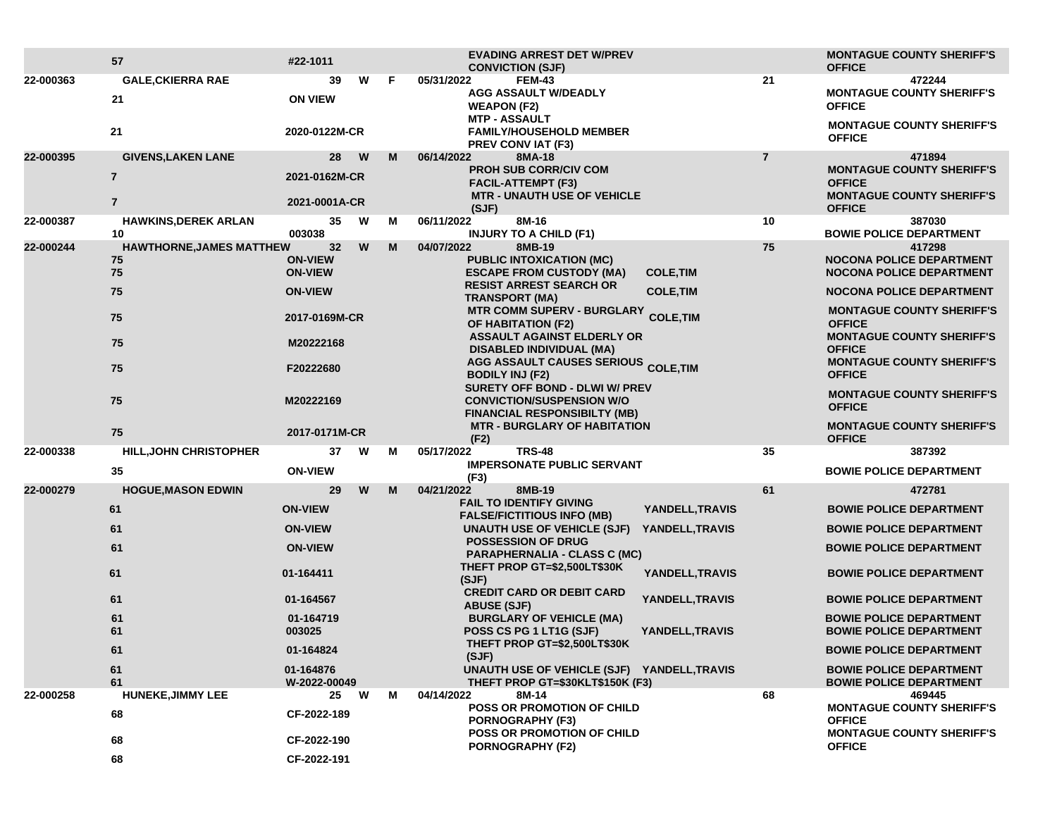|           | 57                                          | #22-1011                         |                            |    | <b>EVADING ARREST DET W/PREV</b><br><b>CONVICTION (SJF)</b>                                             |                        | <b>MONTAGUE COUNTY SHERIFF'S</b><br><b>OFFICE</b>                                     |
|-----------|---------------------------------------------|----------------------------------|----------------------------|----|---------------------------------------------------------------------------------------------------------|------------------------|---------------------------------------------------------------------------------------|
| 22-000363 | <b>GALE, CKIERRA RAE</b><br>21              | <b>ON VIEW</b>                   | W<br>39                    | F. | 05/31/2022<br><b>FEM-43</b><br><b>AGG ASSAULT W/DEADLY</b><br><b>WEAPON (F2)</b>                        | 21                     | 472244<br><b>MONTAGUE COUNTY SHERIFF'S</b><br><b>OFFICE</b>                           |
|           | 21                                          | 2020-0122M-CR                    |                            |    | <b>MTP - ASSAULT</b><br><b>FAMILY/HOUSEHOLD MEMBER</b><br>PREV CONV IAT (F3)                            |                        | <b>MONTAGUE COUNTY SHERIFF'S</b><br><b>OFFICE</b>                                     |
| 22-000395 | <b>GIVENS, LAKEN LANE</b>                   |                                  | 28<br>W                    | M  | 06/14/2022<br>8MA-18                                                                                    | $\overline{7}$         | 471894                                                                                |
|           | $\overline{7}$<br>$\overline{7}$            | 2021-0162M-CR<br>2021-0001A-CR   |                            |    | <b>PROH SUB CORR/CIV COM</b><br><b>FACIL-ATTEMPT (F3)</b><br><b>MTR - UNAUTH USE OF VEHICLE</b>         |                        | <b>MONTAGUE COUNTY SHERIFF'S</b><br><b>OFFICE</b><br><b>MONTAGUE COUNTY SHERIFF'S</b> |
| 22-000387 | <b>HAWKINS, DEREK ARLAN</b>                 |                                  | W<br>35                    | М  | (SJF)<br>06/11/2022<br>8M-16                                                                            | 10                     | <b>OFFICE</b><br>387030                                                               |
|           | 10                                          | 003038                           |                            |    | <b>INJURY TO A CHILD (F1)</b>                                                                           |                        | <b>BOWIE POLICE DEPARTMENT</b>                                                        |
| 22-000244 | <b>HAWTHORNE, JAMES MATTHEW</b><br>75<br>75 | <b>ON-VIEW</b><br><b>ON-VIEW</b> | W<br>32                    | M  | 04/07/2022<br>8MB-19<br><b>PUBLIC INTOXICATION (MC)</b><br><b>ESCAPE FROM CUSTODY (MA)</b>              | 75<br><b>COLE, TIM</b> | 417298<br><b>NOCONA POLICE DEPARTMENT</b><br><b>NOCONA POLICE DEPARTMENT</b>          |
|           | 75                                          | <b>ON-VIEW</b>                   |                            |    | <b>RESIST ARREST SEARCH OR</b><br><b>TRANSPORT (MA)</b>                                                 | <b>COLE, TIM</b>       | <b>NOCONA POLICE DEPARTMENT</b>                                                       |
|           | 75                                          |                                  | 2017-0169M-CR<br>M20222168 |    | <b>MTR COMM SUPERV - BURGLARY</b><br><b>OF HABITATION (F2)</b>                                          | <b>COLE, TIM</b>       | <b>MONTAGUE COUNTY SHERIFF'S</b><br><b>OFFICE</b><br><b>MONTAGUE COUNTY SHERIFF'S</b> |
|           | 75                                          |                                  |                            |    | <b>ASSAULT AGAINST ELDERLY OR</b><br><b>DISABLED INDIVIDUAL (MA)</b>                                    |                        | <b>OFFICE</b>                                                                         |
|           | 75                                          | F20222680                        |                            |    | <b>AGG ASSAULT CAUSES SERIOUS COLE, TIM</b><br><b>BODILY INJ (F2)</b><br>SURETY OFF BOND - DLWI W/ PREV |                        | <b>MONTAGUE COUNTY SHERIFF'S</b><br><b>OFFICE</b>                                     |
|           | 75                                          | M20222169                        |                            |    | <b>CONVICTION/SUSPENSION W/O</b><br><b>FINANCIAL RESPONSIBILTY (MB)</b>                                 |                        | <b>MONTAGUE COUNTY SHERIFF'S</b><br><b>OFFICE</b>                                     |
|           | 75                                          | 2017-0171M-CR                    |                            |    | <b>MTR - BURGLARY OF HABITATION</b><br>(F2)                                                             |                        | <b>MONTAGUE COUNTY SHERIFF'S</b><br><b>OFFICE</b>                                     |
| 22-000338 | <b>HILL, JOHN CHRISTOPHER</b>               |                                  | 37<br>W                    | М  | <b>TRS-48</b><br>05/17/2022                                                                             | 35                     | 387392                                                                                |
|           | 35                                          | <b>ON-VIEW</b>                   |                            |    | <b>IMPERSONATE PUBLIC SERVANT</b><br>(F3)                                                               |                        | <b>BOWIE POLICE DEPARTMENT</b>                                                        |
| 22-000279 | <b>HOGUE, MASON EDWIN</b>                   |                                  | 29<br>W                    | M  | 04/21/2022<br>8MB-19                                                                                    | 61                     | 472781                                                                                |
|           | 61                                          | <b>ON-VIEW</b>                   |                            |    | <b>FAIL TO IDENTIFY GIVING</b><br><b>FALSE/FICTITIOUS INFO (MB)</b>                                     | YANDELL, TRAVIS        | <b>BOWIE POLICE DEPARTMENT</b>                                                        |
|           | 61                                          | <b>ON-VIEW</b>                   |                            |    | UNAUTH USE OF VEHICLE (SJF)                                                                             | YANDELL, TRAVIS        | <b>BOWIE POLICE DEPARTMENT</b>                                                        |
|           | 61                                          | <b>ON-VIEW</b>                   |                            |    | <b>POSSESSION OF DRUG</b><br><b>PARAPHERNALIA - CLASS C (MC)</b>                                        |                        | <b>BOWIE POLICE DEPARTMENT</b>                                                        |
|           | 61                                          | 01-164411                        |                            |    | THEFT PROP GT=\$2,500LT\$30K<br>(SJF)                                                                   | YANDELL, TRAVIS        | <b>BOWIE POLICE DEPARTMENT</b>                                                        |
|           | 61                                          | 01-164567                        |                            |    | <b>CREDIT CARD OR DEBIT CARD</b><br><b>ABUSE (SJF)</b>                                                  | YANDELL, TRAVIS        | <b>BOWIE POLICE DEPARTMENT</b>                                                        |
|           | 61<br>61                                    | 01-164719<br>003025              |                            |    | <b>BURGLARY OF VEHICLE (MA)</b><br>POSS CS PG 1 LT1G (SJF)                                              | YANDELL, TRAVIS        | <b>BOWIE POLICE DEPARTMENT</b><br><b>BOWIE POLICE DEPARTMENT</b>                      |
|           | 61                                          | 01-164824                        |                            |    | THEFT PROP GT=\$2,500LT\$30K<br>(SJF)                                                                   |                        | <b>BOWIE POLICE DEPARTMENT</b>                                                        |
|           | 61<br>61                                    | 01-164876<br>W-2022-00049        |                            |    | UNAUTH USE OF VEHICLE (SJF) YANDELL, TRAVIS<br>THEFT PROP GT=\$30KLT\$150K (F3)                         |                        | <b>BOWIE POLICE DEPARTMENT</b><br><b>BOWIE POLICE DEPARTMENT</b>                      |
| 22-000258 | <b>HUNEKE, JIMMY LEE</b>                    |                                  | 25<br>W                    | М  | 04/14/2022<br>8M-14                                                                                     | 68                     | 469445                                                                                |
|           | 68                                          | CF-2022-189                      |                            |    | POSS OR PROMOTION OF CHILD<br>PORNOGRAPHY (F3)<br>POSS OR PROMOTION OF CHILD                            |                        | <b>MONTAGUE COUNTY SHERIFF'S</b><br><b>OFFICE</b><br><b>MONTAGUE COUNTY SHERIFF'S</b> |
|           | 68                                          | CF-2022-190                      |                            |    | <b>PORNOGRAPHY (F2)</b>                                                                                 |                        | <b>OFFICE</b>                                                                         |
|           | 68                                          | CF-2022-191                      |                            |    |                                                                                                         |                        |                                                                                       |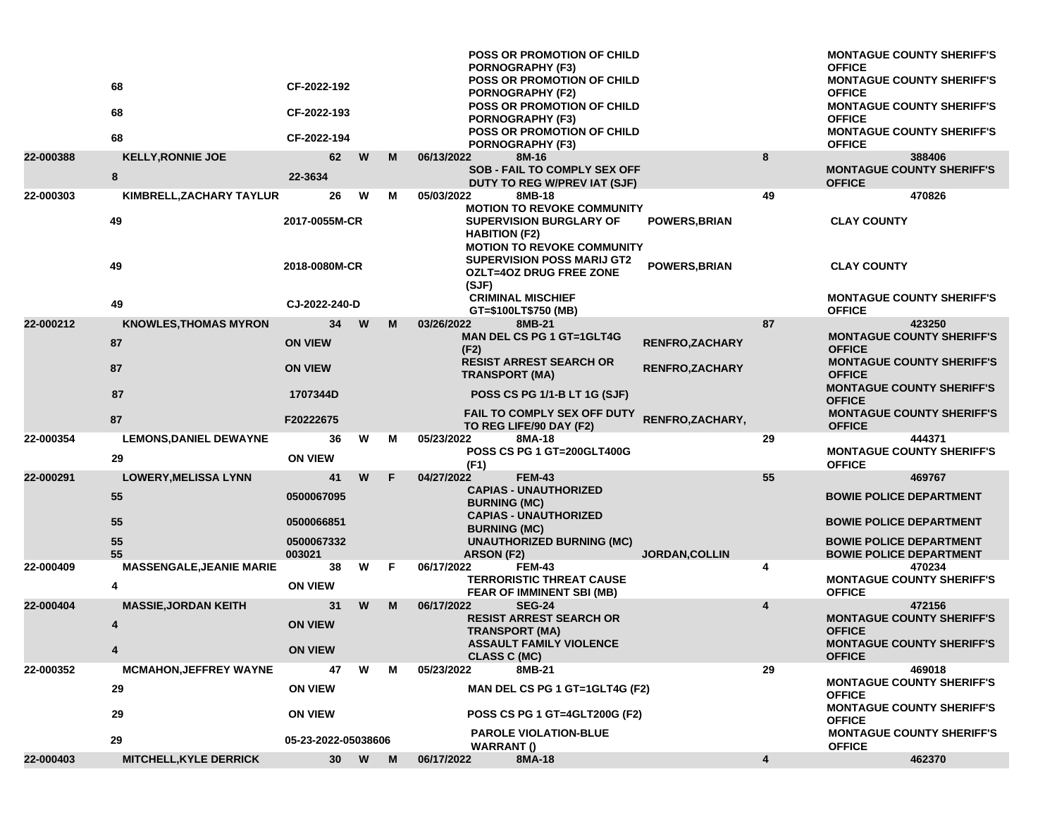|           | 68<br>68<br>68                                       | CF-2022-192<br>CF-2022-193<br>CF-2022-194                       |   |   | <b>POSS OR PROMOTION OF CHILD</b><br><b>PORNOGRAPHY (F3)</b><br><b>POSS OR PROMOTION OF CHILD</b><br><b>PORNOGRAPHY (F2)</b><br><b>POSS OR PROMOTION OF CHILD</b><br>PORNOGRAPHY (F3)<br><b>POSS OR PROMOTION OF CHILD</b><br>PORNOGRAPHY (F3)                                               |                                                                           | <b>MONTAGUE COUNTY SHERIFF'S</b><br><b>OFFICE</b><br><b>MONTAGUE COUNTY SHERIFF'S</b><br><b>OFFICE</b><br><b>MONTAGUE COUNTY SHERIFF'S</b><br><b>OFFICE</b><br><b>MONTAGUE COUNTY SHERIFF'S</b><br><b>OFFICE</b> |
|-----------|------------------------------------------------------|-----------------------------------------------------------------|---|---|----------------------------------------------------------------------------------------------------------------------------------------------------------------------------------------------------------------------------------------------------------------------------------------------|---------------------------------------------------------------------------|------------------------------------------------------------------------------------------------------------------------------------------------------------------------------------------------------------------|
| 22-000388 | <b>KELLY, RONNIE JOE</b><br>8                        | 62<br>22-3634                                                   | W | M | 06/13/2022<br>8M-16<br>SOB - FAIL TO COMPLY SEX OFF<br>DUTY TO REG W/PREV IAT (SJF)                                                                                                                                                                                                          | 8                                                                         | 388406<br><b>MONTAGUE COUNTY SHERIFF'S</b><br><b>OFFICE</b>                                                                                                                                                      |
| 22-000303 | KIMBRELL, ZACHARY TAYLUR<br>49<br>49<br>49           | 26<br>2017-0055M-CR<br>2018-0080M-CR<br>CJ-2022-240-D           | W | м | 05/03/2022<br>8MB-18<br><b>MOTION TO REVOKE COMMUNITY</b><br><b>SUPERVISION BURGLARY OF</b><br><b>HABITION (F2)</b><br><b>MOTION TO REVOKE COMMUNITY</b><br><b>SUPERVISION POSS MARIJ GT2</b><br><b>OZLT=4OZ DRUG FREE ZONE</b><br>(SJF)<br><b>CRIMINAL MISCHIEF</b><br>GT=\$100LT\$750 (MB) | 49<br><b>POWERS, BRIAN</b><br><b>POWERS, BRIAN</b>                        | 470826<br><b>CLAY COUNTY</b><br><b>CLAY COUNTY</b><br><b>MONTAGUE COUNTY SHERIFF'S</b><br><b>OFFICE</b>                                                                                                          |
| 22-000212 | <b>KNOWLES, THOMAS MYRON</b><br>87<br>87<br>87<br>87 | 34<br><b>ON VIEW</b><br><b>ON VIEW</b><br>1707344D<br>F20222675 | W | M | 03/26/2022<br>8MB-21<br><b>MAN DEL CS PG 1 GT=1GLT4G</b><br>(F2)<br><b>RESIST ARREST SEARCH OR</b><br><b>TRANSPORT (MA)</b><br>POSS CS PG 1/1-B LT 1G (SJF)<br>FAIL TO COMPLY SEX OFF DUTY                                                                                                   | 87<br><b>RENFRO, ZACHARY</b><br><b>RENFRO,ZACHARY</b><br>RENFRO, ZACHARY, | 423250<br><b>MONTAGUE COUNTY SHERIFF'S</b><br><b>OFFICE</b><br><b>MONTAGUE COUNTY SHERIFF'S</b><br><b>OFFICE</b><br><b>MONTAGUE COUNTY SHERIFF'S</b><br><b>OFFICE</b><br><b>MONTAGUE COUNTY SHERIFF'S</b>        |
| 22-000354 | <b>LEMONS, DANIEL DEWAYNE</b><br>29                  | 36<br><b>ON VIEW</b>                                            | W | м | TO REG LIFE/90 DAY (F2)<br>05/23/2022<br>8MA-18<br><b>POSS CS PG 1 GT=200GLT400G</b><br>(F1)                                                                                                                                                                                                 | 29                                                                        | <b>OFFICE</b><br>444371<br><b>MONTAGUE COUNTY SHERIFF'S</b><br><b>OFFICE</b>                                                                                                                                     |
| 22-000291 | <b>LOWERY, MELISSA LYNN</b><br>55<br>55<br>55<br>55  | 41<br>0500067095<br>0500066851<br>0500067332<br>003021          | W | F | 04/27/2022<br><b>FEM-43</b><br><b>CAPIAS - UNAUTHORIZED</b><br><b>BURNING (MC)</b><br><b>CAPIAS - UNAUTHORIZED</b><br><b>BURNING (MC)</b><br><b>UNAUTHORIZED BURNING (MC)</b><br>ARSON (F2)                                                                                                  | 55<br><b>JORDAN, COLLIN</b>                                               | 469767<br><b>BOWIE POLICE DEPARTMENT</b><br><b>BOWIE POLICE DEPARTMENT</b><br><b>BOWIE POLICE DEPARTMENT</b><br><b>BOWIE POLICE DEPARTMENT</b>                                                                   |
| 22-000409 | <b>MASSENGALE, JEANIE MARIE</b><br>4                 | 38<br><b>ON VIEW</b>                                            | W | F | <b>FEM-43</b><br>06/17/2022<br><b>TERRORISTIC THREAT CAUSE</b><br>FEAR OF IMMINENT SBI (MB)                                                                                                                                                                                                  | 4                                                                         | 470234<br><b>MONTAGUE COUNTY SHERIFF'S</b><br><b>OFFICE</b>                                                                                                                                                      |
| 22-000404 | <b>MASSIE, JORDAN KEITH</b><br>4                     | 31<br><b>ON VIEW</b><br><b>ON VIEW</b>                          | W | M | 06/17/2022<br><b>SEG-24</b><br><b>RESIST ARREST SEARCH OR</b><br><b>TRANSPORT (MA)</b><br><b>ASSAULT FAMILY VIOLENCE</b><br><b>CLASS C (MC)</b>                                                                                                                                              | $\overline{a}$                                                            | 472156<br><b>MONTAGUE COUNTY SHERIFF'S</b><br><b>OFFICE</b><br><b>MONTAGUE COUNTY SHERIFF'S</b><br><b>OFFICE</b>                                                                                                 |
| 22-000352 | <b>MCMAHON, JEFFREY WAYNE</b><br>29<br>29<br>29      | 47<br><b>ON VIEW</b><br><b>ON VIEW</b><br>05-23-2022-05038606   | W | м | 05/23/2022<br>8MB-21<br>MAN DEL CS PG 1 GT=1GLT4G (F2)<br>POSS CS PG 1 GT=4GLT200G (F2)<br><b>PAROLE VIOLATION-BLUE</b><br><b>WARRANT</b> ()                                                                                                                                                 | 29                                                                        | 469018<br><b>MONTAGUE COUNTY SHERIFF'S</b><br><b>OFFICE</b><br><b>MONTAGUE COUNTY SHERIFF'S</b><br><b>OFFICE</b><br><b>MONTAGUE COUNTY SHERIFF'S</b><br><b>OFFICE</b>                                            |
| 22-000403 | <b>MITCHELL, KYLE DERRICK</b>                        | 30 <sub>o</sub>                                                 | W | M | 8MA-18<br>06/17/2022                                                                                                                                                                                                                                                                         | 4                                                                         | 462370                                                                                                                                                                                                           |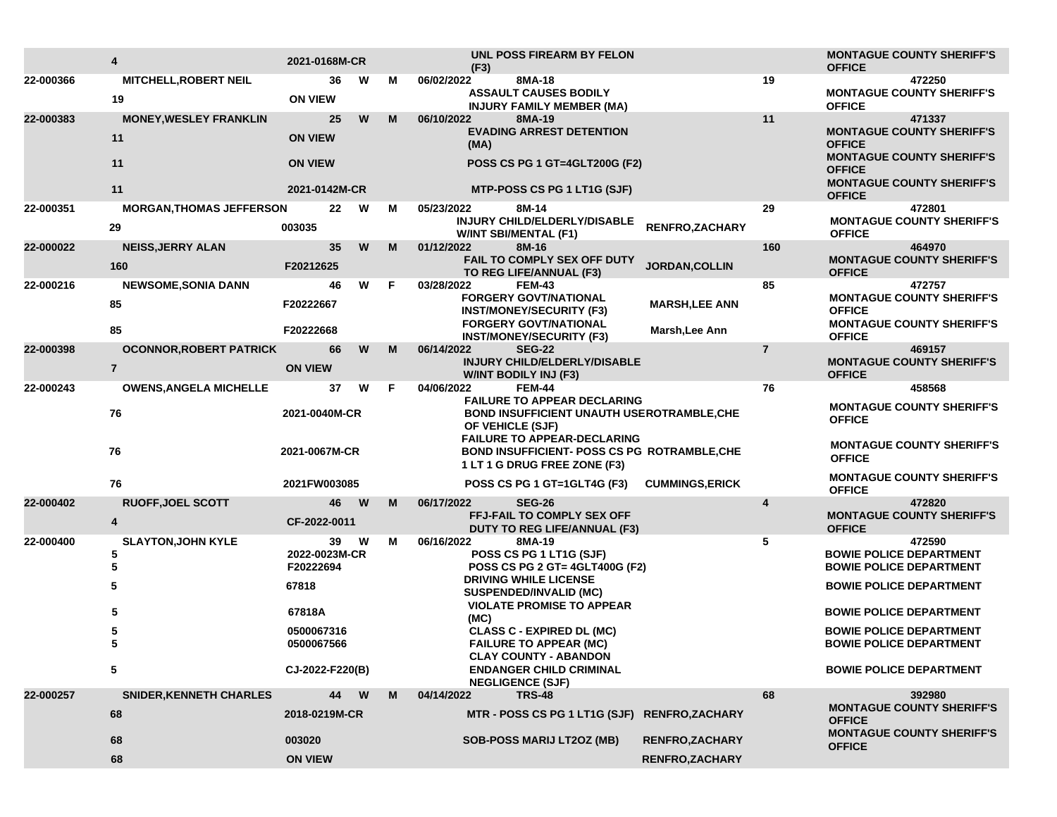|           | 4                                     | 2021-0168M-CR                   |          |    | UNL POSS FIREARM BY FELON<br>(F3)                                                                                                          |                        |                | <b>MONTAGUE COUNTY SHERIFF'S</b><br><b>OFFICE</b>                                     |
|-----------|---------------------------------------|---------------------------------|----------|----|--------------------------------------------------------------------------------------------------------------------------------------------|------------------------|----------------|---------------------------------------------------------------------------------------|
| 22-000366 | <b>MITCHELL, ROBERT NEIL</b><br>19    | 36<br><b>ON VIEW</b>            | W        | М  | 06/02/2022<br>8MA-18<br><b>ASSAULT CAUSES BODILY</b><br><b>INJURY FAMILY MEMBER (MA)</b>                                                   |                        | 19             | 472250<br><b>MONTAGUE COUNTY SHERIFF'S</b><br><b>OFFICE</b>                           |
| 22-000383 | <b>MONEY, WESLEY FRANKLIN</b><br>11   | 25<br><b>ON VIEW</b>            | W        | M  | 06/10/2022<br>8MA-19<br><b>EVADING ARREST DETENTION</b><br>(MA)                                                                            |                        | 11             | 471337<br><b>MONTAGUE COUNTY SHERIFF'S</b><br><b>OFFICE</b>                           |
|           | 11<br>11                              | <b>ON VIEW</b><br>2021-0142M-CR |          |    | <b>POSS CS PG 1 GT=4GLT200G (F2)</b>                                                                                                       |                        |                | <b>MONTAGUE COUNTY SHERIFF'S</b><br><b>OFFICE</b><br><b>MONTAGUE COUNTY SHERIFF'S</b> |
|           |                                       |                                 |          |    | MTP-POSS CS PG 1 LT1G (SJF)                                                                                                                |                        |                | <b>OFFICE</b>                                                                         |
| 22-000351 | <b>MORGAN, THOMAS JEFFERSON</b><br>29 | 22<br>003035                    | W        | м  | 05/23/2022<br>8M-14<br>INJURY CHILD/ELDERLY/DISABLE<br><b>W/INT SBI/MENTAL (F1)</b>                                                        | RENFRO, ZACHARY        | 29             | 472801<br><b>MONTAGUE COUNTY SHERIFF'S</b><br><b>OFFICE</b>                           |
| 22-000022 | <b>NEISS, JERRY ALAN</b>              | 35                              | W        | M  | 01/12/2022<br>8M-16                                                                                                                        |                        | 160            | 464970                                                                                |
|           | 160                                   | F20212625                       |          |    | FAIL TO COMPLY SEX OFF DUTY<br>TO REG LIFE/ANNUAL (F3)                                                                                     | <b>JORDAN, COLLIN</b>  |                | <b>MONTAGUE COUNTY SHERIFF'S</b><br><b>OFFICE</b>                                     |
| 22-000216 | <b>NEWSOME, SONIA DANN</b>            | 46                              | W        | F. | 03/28/2022<br><b>FEM-43</b>                                                                                                                |                        | 85             | 472757                                                                                |
|           | 85                                    | F20222667                       |          |    | <b>FORGERY GOVT/NATIONAL</b><br><b>INST/MONEY/SECURITY (F3)</b>                                                                            | <b>MARSH,LEE ANN</b>   |                | <b>MONTAGUE COUNTY SHERIFF'S</b><br><b>OFFICE</b>                                     |
|           | 85                                    | F20222668                       |          |    | <b>FORGERY GOVT/NATIONAL</b><br><b>INST/MONEY/SECURITY (F3)</b>                                                                            | Marsh, Lee Ann         |                | <b>MONTAGUE COUNTY SHERIFF'S</b><br><b>OFFICE</b>                                     |
| 22-000398 | <b>OCONNOR, ROBERT PATRICK</b>        | 66                              | W        | M  | 06/14/2022<br><b>SEG-22</b>                                                                                                                |                        | $\overline{7}$ | 469157                                                                                |
|           | $\overline{7}$                        | <b>ON VIEW</b>                  |          |    | <b>INJURY CHILD/ELDERLY/DISABLE</b><br><b>W/INT BODILY INJ (F3)</b>                                                                        |                        |                | <b>MONTAGUE COUNTY SHERIFF'S</b><br><b>OFFICE</b>                                     |
| 22-000243 | <b>OWENS, ANGELA MICHELLE</b>         | 37                              | W        | F. | 04/06/2022<br><b>FEM-44</b>                                                                                                                |                        | 76             | 458568                                                                                |
|           | 76                                    | 2021-0040M-CR                   |          |    | <b>FAILURE TO APPEAR DECLARING</b><br>BOND INSUFFICIENT UNAUTH USEROTRAMBLE, CHE<br>OF VEHICLE (SJF)<br><b>FAILURE TO APPEAR-DECLARING</b> |                        |                | <b>MONTAGUE COUNTY SHERIFF'S</b><br><b>OFFICE</b>                                     |
|           | 76                                    | 2021-0067M-CR                   |          |    | <b>BOND INSUFFICIENT- POSS CS PG ROTRAMBLE, CHE</b><br>1 LT 1 G DRUG FREE ZONE (F3)                                                        |                        |                | <b>MONTAGUE COUNTY SHERIFF'S</b><br><b>OFFICE</b>                                     |
|           | 76                                    | 2021FW003085                    |          |    | POSS CS PG 1 GT=1GLT4G (F3)                                                                                                                | <b>CUMMINGS, ERICK</b> |                | <b>MONTAGUE COUNTY SHERIFF'S</b><br><b>OFFICE</b>                                     |
| 22-000402 | <b>RUOFF, JOEL SCOTT</b>              | 46                              | <b>W</b> | M  | 06/17/2022<br><b>SEG-26</b>                                                                                                                |                        | 4              | 472820                                                                                |
|           | 4                                     | CF-2022-0011                    |          |    | <b>FFJ-FAIL TO COMPLY SEX OFF</b><br><b>DUTY TO REG LIFE/ANNUAL (F3)</b>                                                                   |                        |                | <b>MONTAGUE COUNTY SHERIFF'S</b><br><b>OFFICE</b>                                     |
| 22-000400 | <b>SLAYTON, JOHN KYLE</b>             | 39                              | W        | м  | 06/16/2022<br>8MA-19                                                                                                                       |                        | 5              | 472590                                                                                |
|           | 5<br>5                                | 2022-0023M-CR<br>F20222694      |          |    | POSS CS PG 1 LT1G (SJF)<br><b>POSS CS PG 2 GT= 4GLT400G (F2)</b>                                                                           |                        |                | <b>BOWIE POLICE DEPARTMENT</b><br><b>BOWIE POLICE DEPARTMENT</b>                      |
|           | 5                                     | 67818                           |          |    | <b>DRIVING WHILE LICENSE</b><br><b>SUSPENDED/INVALID (MC)</b>                                                                              |                        |                | <b>BOWIE POLICE DEPARTMENT</b>                                                        |
|           | 5                                     | 67818A                          |          |    | <b>VIOLATE PROMISE TO APPEAR</b><br>(MC)                                                                                                   |                        |                | <b>BOWIE POLICE DEPARTMENT</b>                                                        |
|           | 5<br>5                                | 0500067316<br>0500067566        |          |    | <b>CLASS C - EXPIRED DL (MC)</b><br><b>FAILURE TO APPEAR (MC)</b>                                                                          |                        |                | <b>BOWIE POLICE DEPARTMENT</b><br><b>BOWIE POLICE DEPARTMENT</b>                      |
|           | 5                                     | CJ-2022-F220(B)                 |          |    | <b>CLAY COUNTY - ABANDON</b><br><b>ENDANGER CHILD CRIMINAL</b><br><b>NEGLIGENCE (SJF)</b>                                                  |                        |                | <b>BOWIE POLICE DEPARTMENT</b>                                                        |
| 22-000257 | <b>SNIDER, KENNETH CHARLES</b>        | 44                              | W        | M  | 04/14/2022<br><b>TRS-48</b>                                                                                                                |                        | 68             | 392980                                                                                |
|           | 68                                    | 2018-0219M-CR                   |          |    | MTR - POSS CS PG 1 LT1G (SJF) RENFRO, ZACHARY                                                                                              |                        |                | <b>MONTAGUE COUNTY SHERIFF'S</b><br><b>OFFICE</b><br><b>MONTAGUE COUNTY SHERIFF'S</b> |
|           | 68                                    | 003020                          |          |    | <b>SOB-POSS MARIJ LT2OZ (MB)</b>                                                                                                           | <b>RENFRO,ZACHARY</b>  |                | <b>OFFICE</b>                                                                         |
|           | 68                                    | <b>ON VIEW</b>                  |          |    |                                                                                                                                            | <b>RENFRO, ZACHARY</b> |                |                                                                                       |